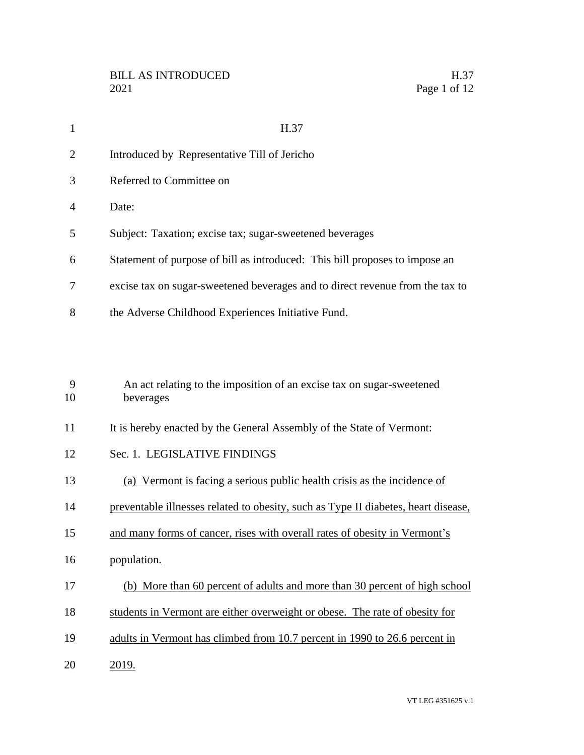| $\mathbf{1}$ | H.37                                                                               |
|--------------|------------------------------------------------------------------------------------|
| 2            | Introduced by Representative Till of Jericho                                       |
| 3            | Referred to Committee on                                                           |
| 4            | Date:                                                                              |
| 5            | Subject: Taxation; excise tax; sugar-sweetened beverages                           |
| 6            | Statement of purpose of bill as introduced: This bill proposes to impose an        |
| 7            | excise tax on sugar-sweetened beverages and to direct revenue from the tax to      |
| 8            | the Adverse Childhood Experiences Initiative Fund.                                 |
| 9<br>10      | An act relating to the imposition of an excise tax on sugar-sweetened<br>beverages |
| 11           | It is hereby enacted by the General Assembly of the State of Vermont:              |
| 12           | Sec. 1. LEGISLATIVE FINDINGS                                                       |
| 13           | (a) Vermont is facing a serious public health crisis as the incidence of           |
| 14           | preventable illnesses related to obesity, such as Type II diabetes, heart disease, |
| 15           | and many forms of cancer, rises with overall rates of obesity in Vermont's         |
| 16           | population.                                                                        |
| 17           | (b) More than 60 percent of adults and more than 30 percent of high school         |
| 18           | students in Vermont are either overweight or obese. The rate of obesity for        |
| 19           | adults in Vermont has climbed from 10.7 percent in 1990 to 26.6 percent in         |

2019.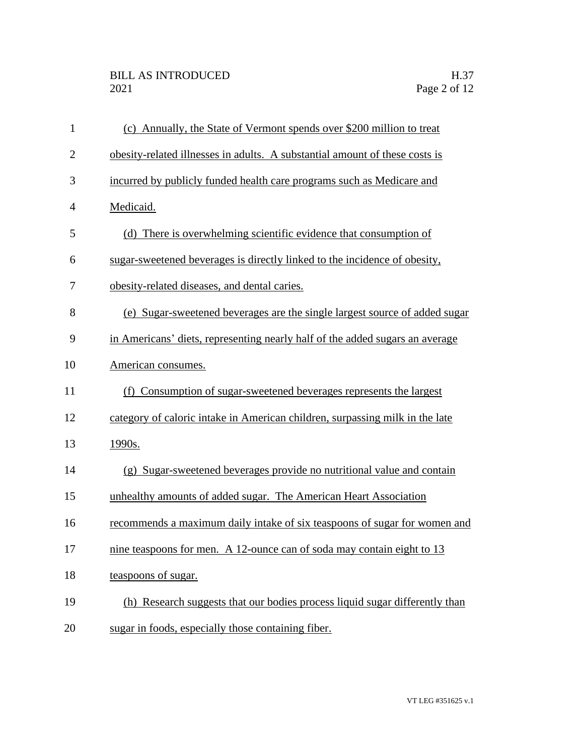| $\mathbf{1}$   | (c) Annually, the State of Vermont spends over \$200 million to treat        |
|----------------|------------------------------------------------------------------------------|
| $\overline{2}$ | obesity-related illnesses in adults. A substantial amount of these costs is  |
| 3              | incurred by publicly funded health care programs such as Medicare and        |
| $\overline{4}$ | Medicaid.                                                                    |
| 5              | (d) There is overwhelming scientific evidence that consumption of            |
| 6              | sugar-sweetened beverages is directly linked to the incidence of obesity,    |
| 7              | obesity-related diseases, and dental caries.                                 |
| 8              | (e) Sugar-sweetened beverages are the single largest source of added sugar   |
| 9              | in Americans' diets, representing nearly half of the added sugars an average |
| 10             | American consumes.                                                           |
| 11             | (f) Consumption of sugar-sweetened beverages represents the largest          |
| 12             | category of caloric intake in American children, surpassing milk in the late |
| 13             | 1990s.                                                                       |
| 14             | (g) Sugar-sweetened beverages provide no nutritional value and contain       |
| 15             | unhealthy amounts of added sugar. The American Heart Association             |
| 16             | recommends a maximum daily intake of six teaspoons of sugar for women and    |
| 17             | nine teaspoons for men. A 12-ounce can of soda may contain eight to 13       |
| 18             | teaspoons of sugar.                                                          |
| 19             | (h) Research suggests that our bodies process liquid sugar differently than  |
| 20             | sugar in foods, especially those containing fiber.                           |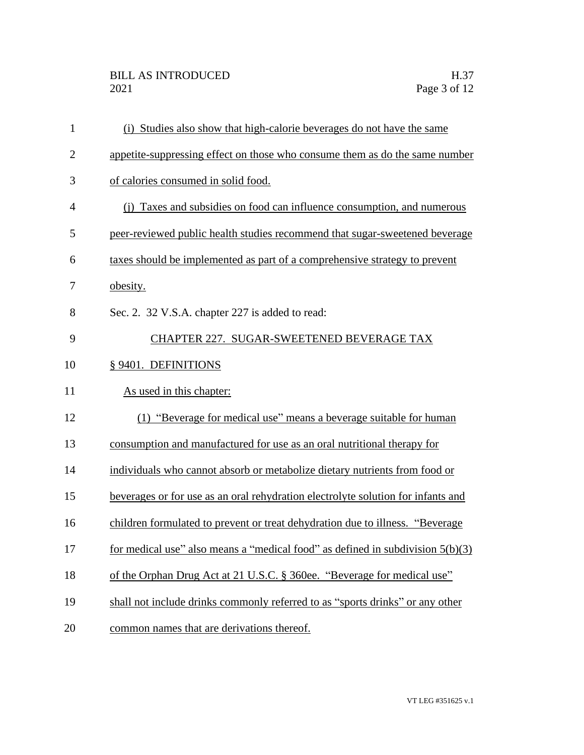| $\mathbf{1}$   | (i) Studies also show that high-calorie beverages do not have the same           |
|----------------|----------------------------------------------------------------------------------|
| $\overline{2}$ | appetite-suppressing effect on those who consume them as do the same number      |
| 3              | of calories consumed in solid food.                                              |
| $\overline{4}$ | (i) Taxes and subsidies on food can influence consumption, and numerous          |
| 5              | peer-reviewed public health studies recommend that sugar-sweetened beverage      |
| 6              | taxes should be implemented as part of a comprehensive strategy to prevent       |
| 7              | obesity.                                                                         |
| 8              | Sec. 2. 32 V.S.A. chapter 227 is added to read:                                  |
| 9              | CHAPTER 227. SUGAR-SWEETENED BEVERAGE TAX                                        |
| 10             | § 9401. DEFINITIONS                                                              |
| 11             | As used in this chapter:                                                         |
| 12             | (1) "Beverage for medical use" means a beverage suitable for human               |
| 13             | consumption and manufactured for use as an oral nutritional therapy for          |
| 14             | individuals who cannot absorb or metabolize dietary nutrients from food or       |
| 15             | beverages or for use as an oral rehydration electrolyte solution for infants and |
| 16             | children formulated to prevent or treat dehydration due to illness. "Beverage    |
| 17             | for medical use" also means a "medical food" as defined in subdivision $5(b)(3)$ |
| 18             | of the Orphan Drug Act at 21 U.S.C. § 360ee. "Beverage for medical use"          |
| 19             | shall not include drinks commonly referred to as "sports drinks" or any other    |
|                |                                                                                  |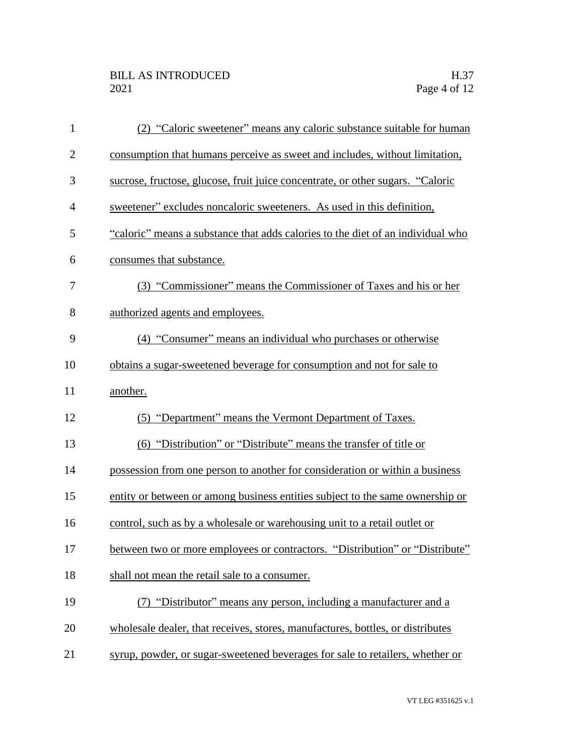| $\mathbf{1}$ | (2) "Caloric sweetener" means any caloric substance suitable for human          |
|--------------|---------------------------------------------------------------------------------|
| $\mathbf{2}$ | consumption that humans perceive as sweet and includes, without limitation,     |
| 3            | sucrose, fructose, glucose, fruit juice concentrate, or other sugars. "Caloric  |
| 4            | sweetener" excludes noncaloric sweeteners. As used in this definition,          |
| 5            | "caloric" means a substance that adds calories to the diet of an individual who |
| 6            | consumes that substance.                                                        |
| 7            | (3) "Commissioner" means the Commissioner of Taxes and his or her               |
| 8            | authorized agents and employees.                                                |
| 9            | (4) "Consumer" means an individual who purchases or otherwise                   |
| 10           | obtains a sugar-sweetened beverage for consumption and not for sale to          |
| 11           | another.                                                                        |
| 12           | (5) "Department" means the Vermont Department of Taxes.                         |
| 13           | (6) "Distribution" or "Distribute" means the transfer of title or               |
| 14           | possession from one person to another for consideration or within a business    |
| 15           | entity or between or among business entities subject to the same ownership or   |
| 16           | control, such as by a wholesale or warehousing unit to a retail outlet or       |
| 17           | between two or more employees or contractors. "Distribution" or "Distribute"    |
| 18           | shall not mean the retail sale to a consumer.                                   |
| 19           | (7) "Distributor" means any person, including a manufacturer and a              |
| 20           | wholesale dealer, that receives, stores, manufactures, bottles, or distributes  |
| 21           | syrup, powder, or sugar-sweetened beverages for sale to retailers, whether or   |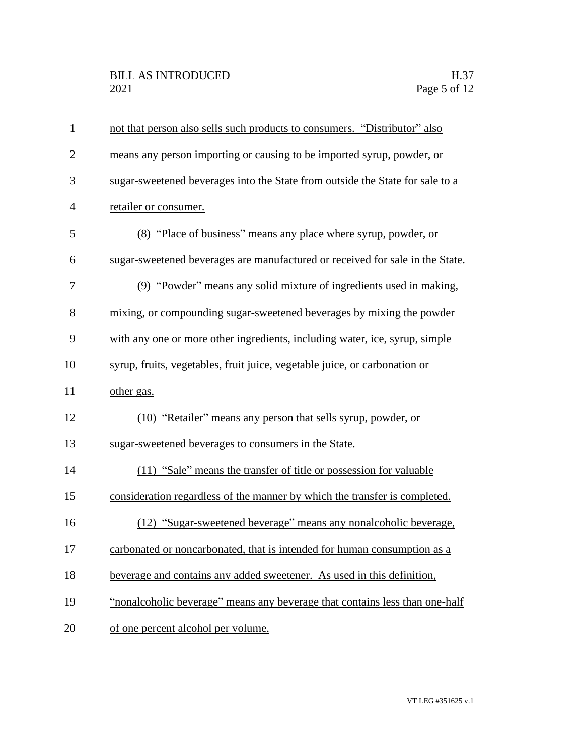| $\mathbf{1}$   | not that person also sells such products to consumers. "Distributor" also     |
|----------------|-------------------------------------------------------------------------------|
| $\overline{2}$ | means any person importing or causing to be imported syrup, powder, or        |
| 3              | sugar-sweetened beverages into the State from outside the State for sale to a |
| $\overline{4}$ | retailer or consumer.                                                         |
| 5              | (8) "Place of business" means any place where syrup, powder, or               |
| 6              | sugar-sweetened beverages are manufactured or received for sale in the State. |
| 7              | (9) "Powder" means any solid mixture of ingredients used in making,           |
| 8              | mixing, or compounding sugar-sweetened beverages by mixing the powder         |
| 9              | with any one or more other ingredients, including water, ice, syrup, simple   |
| 10             | syrup, fruits, vegetables, fruit juice, vegetable juice, or carbonation or    |
| 11             | other gas.                                                                    |
| 12             | (10) "Retailer" means any person that sells syrup, powder, or                 |
| 13             | sugar-sweetened beverages to consumers in the State.                          |
| 14             | (11) "Sale" means the transfer of title or possession for valuable            |
| 15             | consideration regardless of the manner by which the transfer is completed.    |
| 16             | (12) "Sugar-sweetened beverage" means any nonalcoholic beverage,              |
| 17             | carbonated or noncarbonated, that is intended for human consumption as a      |
| 18             | beverage and contains any added sweetener. As used in this definition,        |
| 19             | "nonalcoholic beverage" means any beverage that contains less than one-half   |
| 20             | of one percent alcohol per volume.                                            |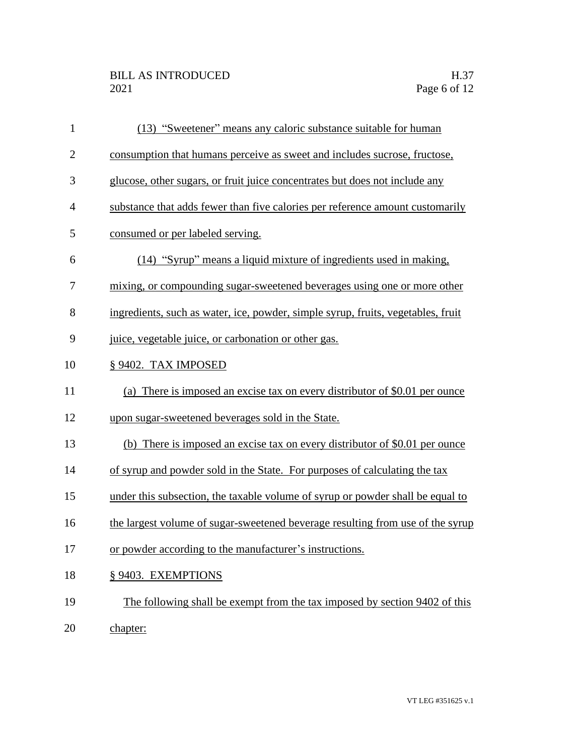| $\mathbf{1}$   | (13) "Sweetener" means any caloric substance suitable for human                  |
|----------------|----------------------------------------------------------------------------------|
| $\overline{2}$ | consumption that humans perceive as sweet and includes sucrose, fructose,        |
| 3              | glucose, other sugars, or fruit juice concentrates but does not include any      |
| $\overline{4}$ | substance that adds fewer than five calories per reference amount customarily    |
| 5              | consumed or per labeled serving.                                                 |
| 6              | (14) "Syrup" means a liquid mixture of ingredients used in making,               |
| 7              | mixing, or compounding sugar-sweetened beverages using one or more other         |
| 8              | ingredients, such as water, ice, powder, simple syrup, fruits, vegetables, fruit |
| 9              | juice, vegetable juice, or carbonation or other gas.                             |
| 10             | § 9402. TAX IMPOSED                                                              |
| 11             | (a) There is imposed an excise tax on every distributor of \$0.01 per ounce      |
| 12             | upon sugar-sweetened beverages sold in the State.                                |
| 13             | (b) There is imposed an excise tax on every distributor of \$0.01 per ounce      |
| 14             | of syrup and powder sold in the State. For purposes of calculating the tax       |
| 15             | under this subsection, the taxable volume of syrup or powder shall be equal to   |
| 16             | the largest volume of sugar-sweetened beverage resulting from use of the syrup   |
| 17             | or powder according to the manufacturer's instructions.                          |
| 18             | § 9403. EXEMPTIONS                                                               |
| 19             | The following shall be exempt from the tax imposed by section 9402 of this       |
| 20             | chapter:                                                                         |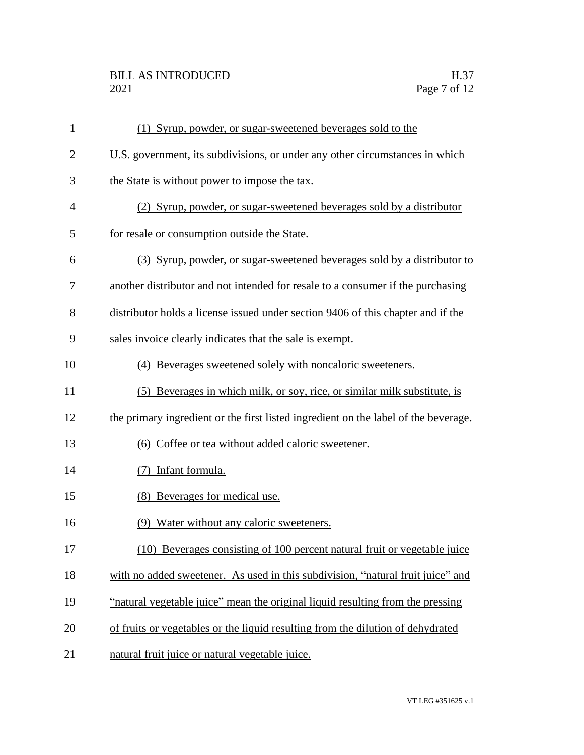| $\mathbf{1}$   | (1) Syrup, powder, or sugar-sweetened beverages sold to the                         |
|----------------|-------------------------------------------------------------------------------------|
| $\overline{2}$ | U.S. government, its subdivisions, or under any other circumstances in which        |
| 3              | the State is without power to impose the tax.                                       |
| $\overline{4}$ | (2) Syrup, powder, or sugar-sweetened beverages sold by a distributor               |
| 5              | for resale or consumption outside the State.                                        |
| 6              | (3) Syrup, powder, or sugar-sweetened beverages sold by a distributor to            |
| 7              | another distributor and not intended for resale to a consumer if the purchasing     |
| 8              | distributor holds a license issued under section 9406 of this chapter and if the    |
| 9              | sales invoice clearly indicates that the sale is exempt.                            |
| 10             | (4) Beverages sweetened solely with noncaloric sweeteners.                          |
| 11             | (5) Beverages in which milk, or soy, rice, or similar milk substitute, is           |
| 12             | the primary ingredient or the first listed ingredient on the label of the beverage. |
| 13             | (6) Coffee or tea without added caloric sweetener.                                  |
| 14             | Infant formula.                                                                     |
| 15             | (8) Beverages for medical use.                                                      |
| 16             | (9) Water without any caloric sweeteners.                                           |
| 17             | (10) Beverages consisting of 100 percent natural fruit or vegetable juice           |
| 18             | with no added sweetener. As used in this subdivision, "natural fruit juice" and     |
| 19             | "natural vegetable juice" mean the original liquid resulting from the pressing      |
| 20             | of fruits or vegetables or the liquid resulting from the dilution of dehydrated     |
| 21             | natural fruit juice or natural vegetable juice.                                     |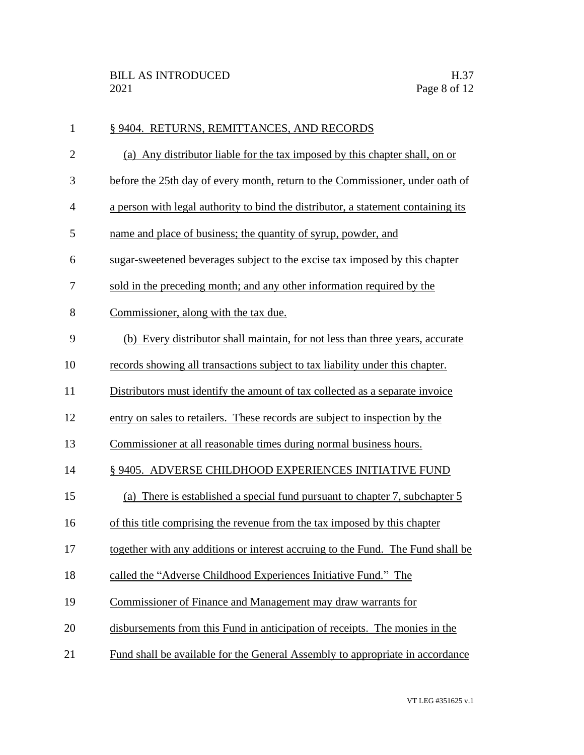| $\mathbf{1}$   | § 9404. RETURNS, REMITTANCES, AND RECORDS                                         |
|----------------|-----------------------------------------------------------------------------------|
| $\overline{2}$ | (a) Any distributor liable for the tax imposed by this chapter shall, on or       |
| 3              | before the 25th day of every month, return to the Commissioner, under oath of     |
| $\overline{4}$ | a person with legal authority to bind the distributor, a statement containing its |
| 5              | name and place of business; the quantity of syrup, powder, and                    |
| 6              | sugar-sweetened beverages subject to the excise tax imposed by this chapter       |
| 7              | sold in the preceding month; and any other information required by the            |
| 8              | Commissioner, along with the tax due.                                             |
| 9              | (b) Every distributor shall maintain, for not less than three years, accurate     |
| 10             | records showing all transactions subject to tax liability under this chapter.     |
| 11             | Distributors must identify the amount of tax collected as a separate invoice      |
| 12             | entry on sales to retailers. These records are subject to inspection by the       |
| 13             | Commissioner at all reasonable times during normal business hours.                |
| 14             | § 9405. ADVERSE CHILDHOOD EXPERIENCES INITIATIVE FUND                             |
| 15             | (a) There is established a special fund pursuant to chapter 7, subchapter 5       |
| 16             | of this title comprising the revenue from the tax imposed by this chapter         |
| 17             | together with any additions or interest accruing to the Fund. The Fund shall be   |
| 18             | called the "Adverse Childhood Experiences Initiative Fund." The                   |
| 19             | Commissioner of Finance and Management may draw warrants for                      |
| 20             | disbursements from this Fund in anticipation of receipts. The monies in the       |
| 21             | Fund shall be available for the General Assembly to appropriate in accordance     |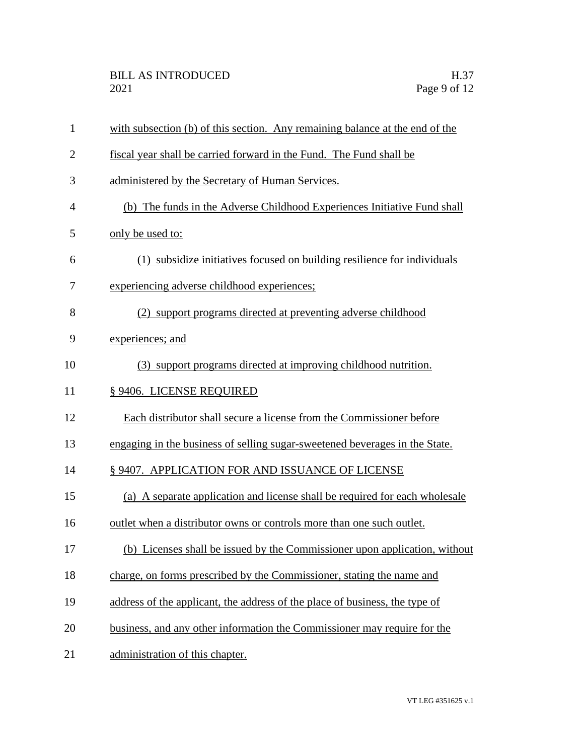| $\mathbf{1}$   | with subsection (b) of this section. Any remaining balance at the end of the |
|----------------|------------------------------------------------------------------------------|
| $\overline{2}$ | fiscal year shall be carried forward in the Fund. The Fund shall be          |
| 3              | administered by the Secretary of Human Services.                             |
| 4              | (b) The funds in the Adverse Childhood Experiences Initiative Fund shall     |
| 5              | only be used to:                                                             |
| 6              | (1) subsidize initiatives focused on building resilience for individuals     |
| 7              | experiencing adverse childhood experiences;                                  |
| 8              | (2) support programs directed at preventing adverse childhood                |
| 9              | experiences; and                                                             |
| 10             | (3) support programs directed at improving childhood nutrition.              |
| 11             | § 9406. LICENSE REQUIRED                                                     |
| 12             | Each distributor shall secure a license from the Commissioner before         |
| 13             | engaging in the business of selling sugar-sweetened beverages in the State.  |
| 14             | § 9407. APPLICATION FOR AND ISSUANCE OF LICENSE                              |
| 15             | (a) A separate application and license shall be required for each wholesale  |
| 16             | outlet when a distributor owns or controls more than one such outlet.        |
| 17             | (b) Licenses shall be issued by the Commissioner upon application, without   |
| 18             | charge, on forms prescribed by the Commissioner, stating the name and        |
| 19             | address of the applicant, the address of the place of business, the type of  |
| 20             | business, and any other information the Commissioner may require for the     |
| 21             | administration of this chapter.                                              |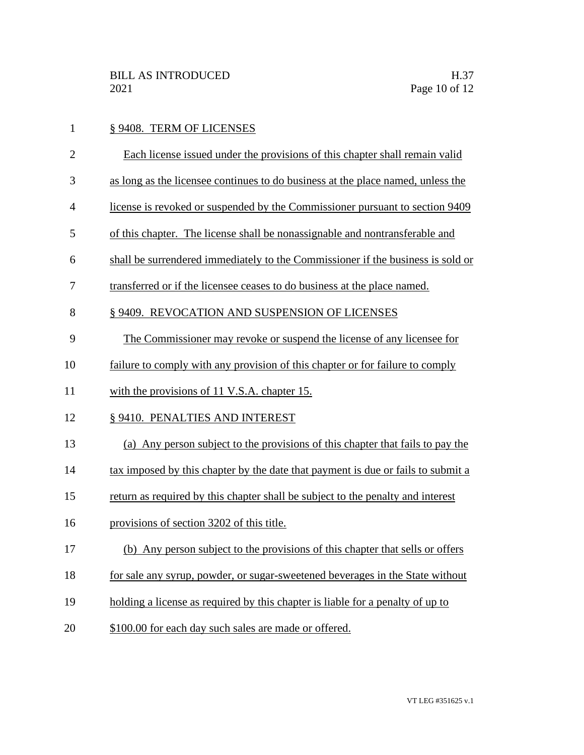| $\mathbf{1}$   | § 9408. TERM OF LICENSES                                                         |
|----------------|----------------------------------------------------------------------------------|
| $\overline{2}$ | Each license issued under the provisions of this chapter shall remain valid      |
| 3              | as long as the licensee continues to do business at the place named, unless the  |
| $\overline{4}$ | license is revoked or suspended by the Commissioner pursuant to section 9409     |
| 5              | of this chapter. The license shall be nonassignable and nontransferable and      |
| 6              | shall be surrendered immediately to the Commissioner if the business is sold or  |
| 7              | transferred or if the licensee ceases to do business at the place named.         |
| 8              | § 9409. REVOCATION AND SUSPENSION OF LICENSES                                    |
| 9              | The Commissioner may revoke or suspend the license of any licensee for           |
| 10             | failure to comply with any provision of this chapter or for failure to comply    |
| 11             | with the provisions of 11 V.S.A. chapter 15.                                     |
| 12             | § 9410. PENALTIES AND INTEREST                                                   |
| 13             | (a) Any person subject to the provisions of this chapter that fails to pay the   |
| 14             | tax imposed by this chapter by the date that payment is due or fails to submit a |
| 15             | return as required by this chapter shall be subject to the penalty and interest  |
| 16             | provisions of section 3202 of this title.                                        |
| 17             | (b) Any person subject to the provisions of this chapter that sells or offers    |
| 18             | for sale any syrup, powder, or sugar-sweetened beverages in the State without    |
| 19             | holding a license as required by this chapter is liable for a penalty of up to   |
| 20             | \$100.00 for each day such sales are made or offered.                            |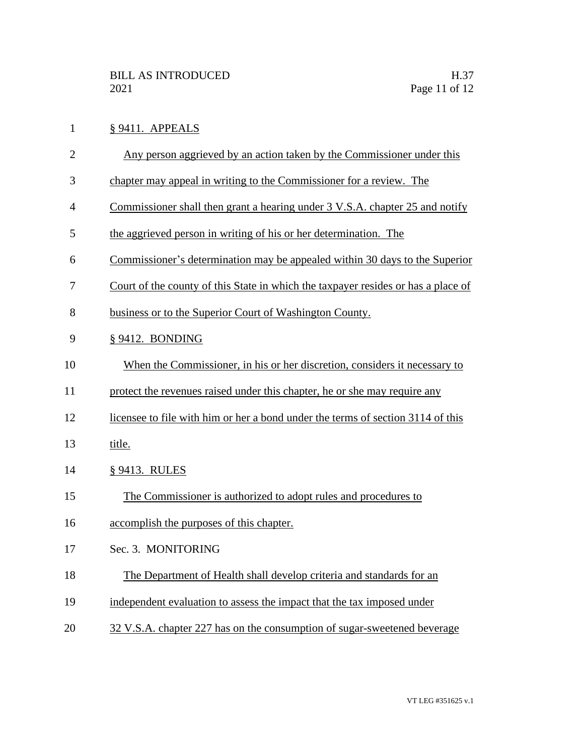## § 9411. APPEALS

- Any person aggrieved by an action taken by the Commissioner under this
- chapter may appeal in writing to the Commissioner for a review. The
- Commissioner shall then grant a hearing under 3 V.S.A. chapter 25 and notify
- the aggrieved person in writing of his or her determination. The
- Commissioner's determination may be appealed within 30 days to the Superior
- Court of the county of this State in which the taxpayer resides or has a place of
- business or to the Superior Court of Washington County.
- § 9412. BONDING
- When the Commissioner, in his or her discretion, considers it necessary to
- protect the revenues raised under this chapter, he or she may require any
- licensee to file with him or her a bond under the terms of section 3114 of this
- title.
- § 9413. RULES
- The Commissioner is authorized to adopt rules and procedures to
- accomplish the purposes of this chapter.
- Sec. 3. MONITORING
- The Department of Health shall develop criteria and standards for an
- 19 independent evaluation to assess the impact that the tax imposed under
- 32 V.S.A. chapter 227 has on the consumption of sugar-sweetened beverage